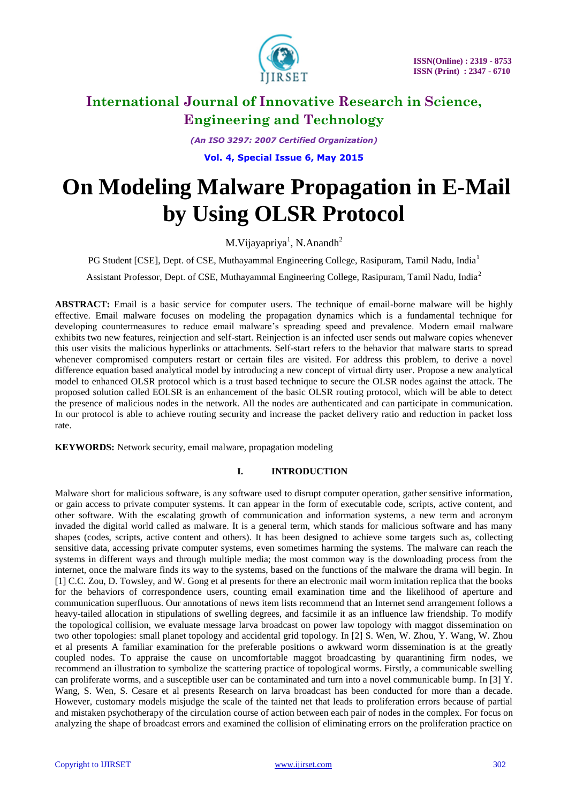

*(An ISO 3297: 2007 Certified Organization)*

**Vol. 4, Special Issue 6, May 2015**

# **On Modeling Malware Propagation in E-Mail by Using OLSR Protocol**

M. Vijayapriya<sup>1</sup>, N. Anandh<sup>2</sup>

PG Student [CSE], Dept. of CSE, Muthayammal Engineering College, Rasipuram, Tamil Nadu, India<sup>1</sup>

Assistant Professor, Dept. of CSE, Muthayammal Engineering College, Rasipuram, Tamil Nadu, India<sup>2</sup>

**ABSTRACT:** Email is a basic service for computer users. The technique of email-borne malware will be highly effective. Email malware focuses on modeling the propagation dynamics which is a fundamental technique for developing countermeasures to reduce email malware's spreading speed and prevalence. Modern email malware exhibits two new features, reinjection and self-start. Reinjection is an infected user sends out malware copies whenever this user visits the malicious hyperlinks or attachments. Self-start refers to the behavior that malware starts to spread whenever compromised computers restart or certain files are visited. For address this problem, to derive a novel difference equation based analytical model by introducing a new concept of virtual dirty user. Propose a new analytical model to enhanced OLSR protocol which is a trust based technique to secure the OLSR nodes against the attack. The proposed solution called EOLSR is an enhancement of the basic OLSR routing protocol, which will be able to detect the presence of malicious nodes in the network. All the nodes are authenticated and can participate in communication. In our protocol is able to achieve routing security and increase the packet delivery ratio and reduction in packet loss rate.

**KEYWORDS:** Network security, email malware, propagation modeling

# **I. INTRODUCTION**

Malware short for malicious software, is any software used to disrupt computer operation, gather sensitive information, or gain access to private computer systems. It can appear in the form of executable code, scripts, active content, and other software. With the escalating growth of communication and information systems, a new term and acronym invaded the digital world called as malware. It is a general term, which stands for malicious software and has many shapes (codes, scripts, active content and others). It has been designed to achieve some targets such as, collecting sensitive data, accessing private computer systems, even sometimes harming the systems. The malware can reach the systems in different ways and through multiple media; the most common way is the downloading process from the internet, once the malware finds its way to the systems, based on the functions of the malware the drama will begin. In [1] C.C. Zou, D. Towsley, and W. Gong et al presents for there an electronic mail worm imitation replica that the books for the behaviors of correspondence users, counting email examination time and the likelihood of aperture and communication superfluous. Our annotations of news item lists recommend that an Internet send arrangement follows a heavy-tailed allocation in stipulations of swelling degrees, and facsimile it as an influence law friendship. To modify the topological collision, we evaluate message larva broadcast on power law topology with maggot dissemination on two other topologies: small planet topology and accidental grid topology. In [2] S. Wen, W. Zhou, Y. Wang, W. Zhou et al presents A familiar examination for the preferable positions o awkward worm dissemination is at the greatly coupled nodes. To appraise the cause on uncomfortable maggot broadcasting by quarantining firm nodes, we recommend an illustration to symbolize the scattering practice of topological worms. Firstly, a communicable swelling can proliferate worms, and a susceptible user can be contaminated and turn into a novel communicable bump. In [3] Y. Wang, S. Wen, S. Cesare et al presents Research on larva broadcast has been conducted for more than a decade. However, customary models misjudge the scale of the tainted net that leads to proliferation errors because of partial and mistaken psychotherapy of the circulation course of action between each pair of nodes in the complex. For focus on analyzing the shape of broadcast errors and examined the collision of eliminating errors on the proliferation practice on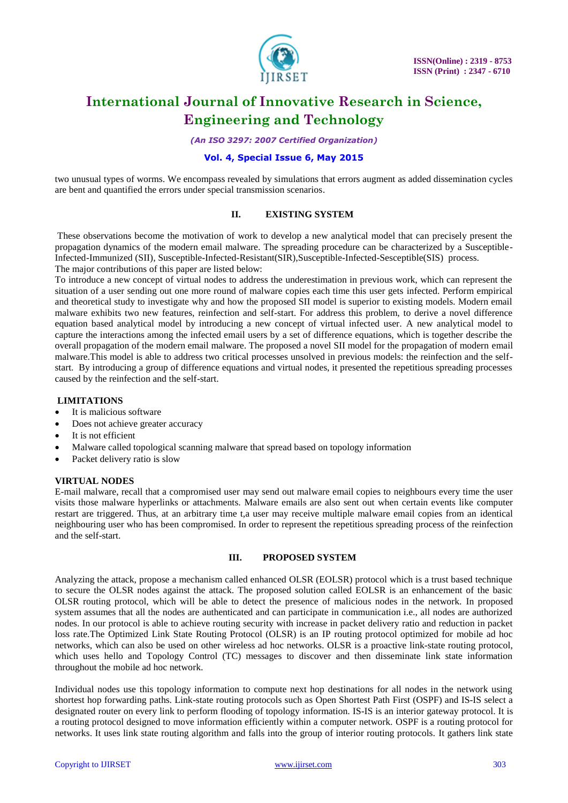

*(An ISO 3297: 2007 Certified Organization)*

# **Vol. 4, Special Issue 6, May 2015**

two unusual types of worms. We encompass revealed by simulations that errors augment as added dissemination cycles are bent and quantified the errors under special transmission scenarios.

### **II. EXISTING SYSTEM**

These observations become the motivation of work to develop a new analytical model that can precisely present the propagation dynamics of the modern email malware. The spreading procedure can be characterized by a Susceptible-Infected-Immunized (SII), Susceptible-Infected-Resistant(SIR),Susceptible-Infected-Sesceptible(SIS) process.

The major contributions of this paper are listed below:

To introduce a new concept of virtual nodes to address the underestimation in previous work, which can represent the situation of a user sending out one more round of malware copies each time this user gets infected. Perform empirical and theoretical study to investigate why and how the proposed SII model is superior to existing models. Modern email malware exhibits two new features, reinfection and self-start. For address this problem, to derive a novel difference equation based analytical model by introducing a new concept of virtual infected user. A new analytical model to capture the interactions among the infected email users by a set of difference equations, which is together describe the overall propagation of the modern email malware. The proposed a novel SII model for the propagation of modern email malware.This model is able to address two critical processes unsolved in previous models: the reinfection and the selfstart. By introducing a group of difference equations and virtual nodes, it presented the repetitious spreading processes caused by the reinfection and the self-start.

### **LIMITATIONS**

- It is malicious software
- Does not achieve greater accuracy
- It is not efficient
- Malware called topological scanning malware that spread based on topology information
- Packet delivery ratio is slow

### **VIRTUAL NODES**

E-mail malware, recall that a compromised user may send out malware email copies to neighbours every time the user visits those malware hyperlinks or attachments. Malware emails are also sent out when certain events like computer restart are triggered. Thus, at an arbitrary time t,a user may receive multiple malware email copies from an identical neighbouring user who has been compromised. In order to represent the repetitious spreading process of the reinfection and the self-start.

### **III. PROPOSED SYSTEM**

Analyzing the attack, propose a mechanism called enhanced OLSR (EOLSR) protocol which is a trust based technique to secure the OLSR nodes against the attack. The proposed solution called EOLSR is an enhancement of the basic OLSR routing protocol, which will be able to detect the presence of malicious nodes in the network. In proposed system assumes that all the nodes are authenticated and can participate in communication i.e., all nodes are authorized nodes. In our protocol is able to achieve routing security with increase in packet delivery ratio and reduction in packet loss rate.The Optimized Link State Routing Protocol (OLSR) is an [IP](http://en.wikipedia.org/wiki/Internet_Protocol) routing protocol optimized for [mobile ad hoc](http://en.wikipedia.org/wiki/Mobile_ad_hoc_network)  [networks,](http://en.wikipedia.org/wiki/Mobile_ad_hoc_network) which can also be used on other [wireless ad hoc networks.](http://en.wikipedia.org/wiki/Wireless_ad_hoc_network) OLSR is a proactive [link-state routing protocol,](http://en.wikipedia.org/wiki/Link-state_routing_protocol) which uses hello and Topology Control (TC) messages to discover and then disseminate link state information throughout the [mobile ad hoc network.](http://en.wikipedia.org/wiki/Mobile_ad_hoc_network)

Individual nodes use this topology information to compute next hop destinations for all nodes in the network using shortest hop forwarding paths. Link-state routing protocols such as [Open Shortest Path First](http://en.wikipedia.org/wiki/Open_Shortest_Path_First) (OSPF) and [IS-IS](http://en.wikipedia.org/wiki/IS-IS) select a designated router on every link to perform flooding of topology information. IS-IS is an interior gateway protocol. It is a routing protocol designed to move information efficiently within a computer network. OSPF is a routing protocol for networks. It uses link state routing algorithm and falls into the group of interior routing protocols. It gathers link state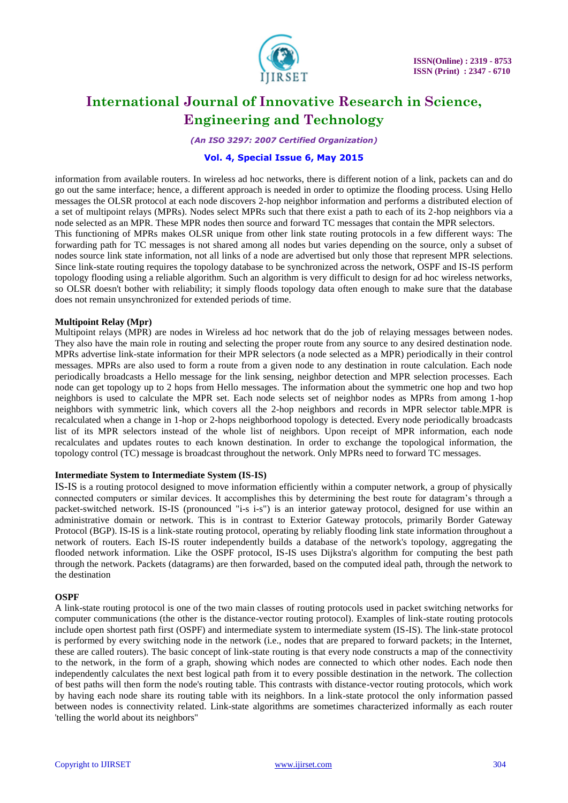

*(An ISO 3297: 2007 Certified Organization)*

# **Vol. 4, Special Issue 6, May 2015**

information from available routers. In wireless ad hoc networks, there is different notion of a link, packets can and do go out the same interface; hence, a different approach is needed in order to optimize the flooding process. Using Hello messages the OLSR protocol at each node discovers 2-hop neighbor information and performs a distributed election of a set of [multipoint relays](http://en.wikipedia.org/wiki/Multipoint_relay) (MPRs). Nodes select MPRs such that there exist a path to each of its 2-hop neighbors via a node selected as an MPR. These MPR nodes then source and forward TC messages that contain the MPR selectors.

This functioning of MPRs makes OLSR unique from other link state routing protocols in a few different ways: The forwarding path for TC messages is not shared among all nodes but varies depending on the source, only a subset of nodes source link state information, not all links of a node are advertised but only those that represent MPR selections. Since link-state routing requires the topology database to be synchronized across the network, OSPF and IS-IS perform topology flooding using a reliable algorithm. Such an algorithm is very difficult to design for ad hoc wireless networks, so OLSR doesn't bother with reliability; it simply floods topology data often enough to make sure that the database does not remain unsynchronized for extended periods of time.

### **Multipoint Relay (Mpr)**

Multipoint relays (MPR) are nodes in Wireless ad hoc network that do the job of relaying messages between nodes. They also have the main role in routing and selecting the proper route from any source to any desired destination node. MPRs advertise link-state information for their MPR selectors (a node selected as a MPR) periodically in their control messages. MPRs are also used to form a route from a given node to any destination in route calculation. Each node periodically broadcasts a Hello message for the link sensing, neighbor detection and MPR selection processes. Each node can get topology up to 2 hops from Hello messages. The information about the symmetric one hop and two hop neighbors is used to calculate the MPR set. Each node selects set of neighbor nodes as MPRs from among 1-hop neighbors with symmetric link, which covers all the 2-hop neighbors and records in MPR selector table.MPR is recalculated when a change in 1-hop or 2-hops neighborhood topology is detected. Every node periodically broadcasts list of its MPR selectors instead of the whole list of neighbors. Upon receipt of MPR information, each node recalculates and updates routes to each known destination. In order to exchange the topological information, the topology control (TC) message is broadcast throughout the network. Only MPRs need to forward TC messages.

### **Intermediate System to Intermediate System (IS-IS)**

IS-IS is a routing protocol designed to move information efficiently within a computer network, a group of physically connected computers or similar devices. It accomplishes this by determining the best route for datagram's through a packet-switched network. IS-IS (pronounced "i-s i-s") is an interior gateway protocol, designed for use within an administrative domain or network. This is in contrast to Exterior Gateway protocols, primarily Border Gateway Protocol (BGP). IS-IS is a link-state routing protocol, operating by reliably flooding link state information throughout a network of routers. Each IS-IS router independently builds a database of the network's topology, aggregating the flooded network information. Like the OSPF protocol, IS-IS uses Dijkstra's algorithm for computing the best path through the network. Packets (datagrams) are then forwarded, based on the computed ideal path, through the network to the destination

#### **OSPF**

A link-state routing protocol is one of the two main classes of routing protocols used in packet switching networks for computer communications (the other is the distance-vector routing protocol). Examples of link-state routing protocols include open shortest path first (OSPF) and intermediate system to intermediate system (IS-IS). The link-state protocol is performed by every switching node in the network (i.e., nodes that are prepared to forward packets; in the Internet, these are called routers). The basic concept of link-state routing is that every node constructs a map of the connectivity to the network, in the form of a graph, showing which nodes are connected to which other nodes. Each node then independently calculates the next best logical path from it to every possible destination in the network. The collection of best paths will then form the node's routing table. This contrasts with distance-vector routing protocols, which work by having each node share its routing table with its neighbors. In a link-state protocol the only information passed between nodes is connectivity related. Link-state algorithms are sometimes characterized informally as each router 'telling the world about its neighbors"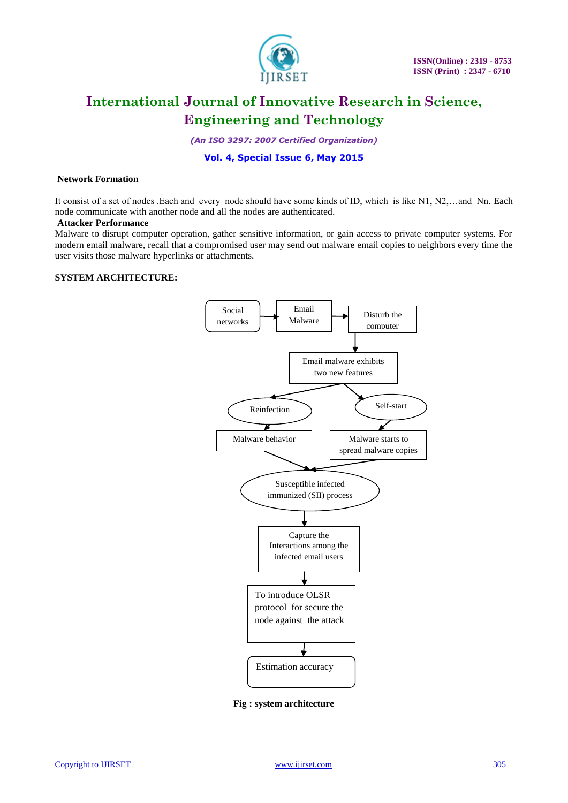

*(An ISO 3297: 2007 Certified Organization)*

# **Vol. 4, Special Issue 6, May 2015**

#### **Network Formation**

It consist of a set of nodes .Each and every node should have some kinds of ID, which is like N1, N2,…and Nn. Each node communicate with another node and all the nodes are authenticated.

#### **Attacker Performance**

Malware to disrupt computer operation, gather sensitive information, or gain access to private computer systems. For modern email malware, recall that a compromised user may send out malware email copies to neighbors every time the user visits those malware hyperlinks or attachments.

# **SYSTEM ARCHITECTURE:**



**Fig : system architecture**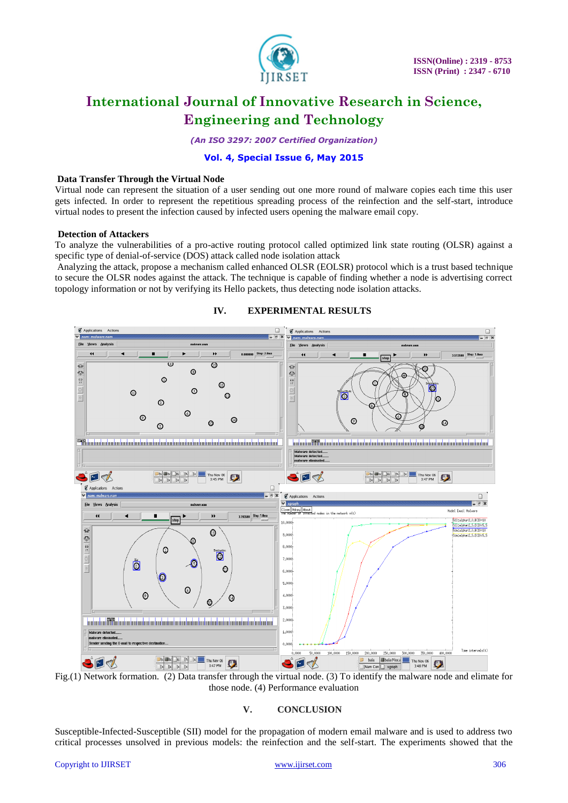

*(An ISO 3297: 2007 Certified Organization)*

# **Vol. 4, Special Issue 6, May 2015**

### **Data Transfer Through the Virtual Node**

Virtual node can represent the situation of a user sending out one more round of malware copies each time this user gets infected. In order to represent the repetitious spreading process of the reinfection and the self-start, introduce virtual nodes to present the infection caused by infected users opening the malware email copy.

#### **Detection of Attackers**

To analyze the vulnerabilities of a pro-active routing protocol called optimized link state routing (OLSR) against a specific type of denial-of-service (DOS) attack called node isolation attack

Analyzing the attack, propose a mechanism called enhanced OLSR (EOLSR) protocol which is a trust based technique to secure the OLSR nodes against the attack. The technique is capable of finding whether a node is advertising correct topology information or not by verifying its Hello packets, thus detecting node isolation attacks.



### **IV. EXPERIMENTAL RESULTS**

Fig.(1) Network formation. (2) Data transfer through the virtual node. (3) To identify the malware node and elimate for those node. (4) Performance evaluation

# **V. CONCLUSION**

Susceptible-Infected-Susceptible (SII) model for the propagation of modern email malware and is used to address two critical processes unsolved in previous models: the reinfection and the self-start. The experiments showed that the